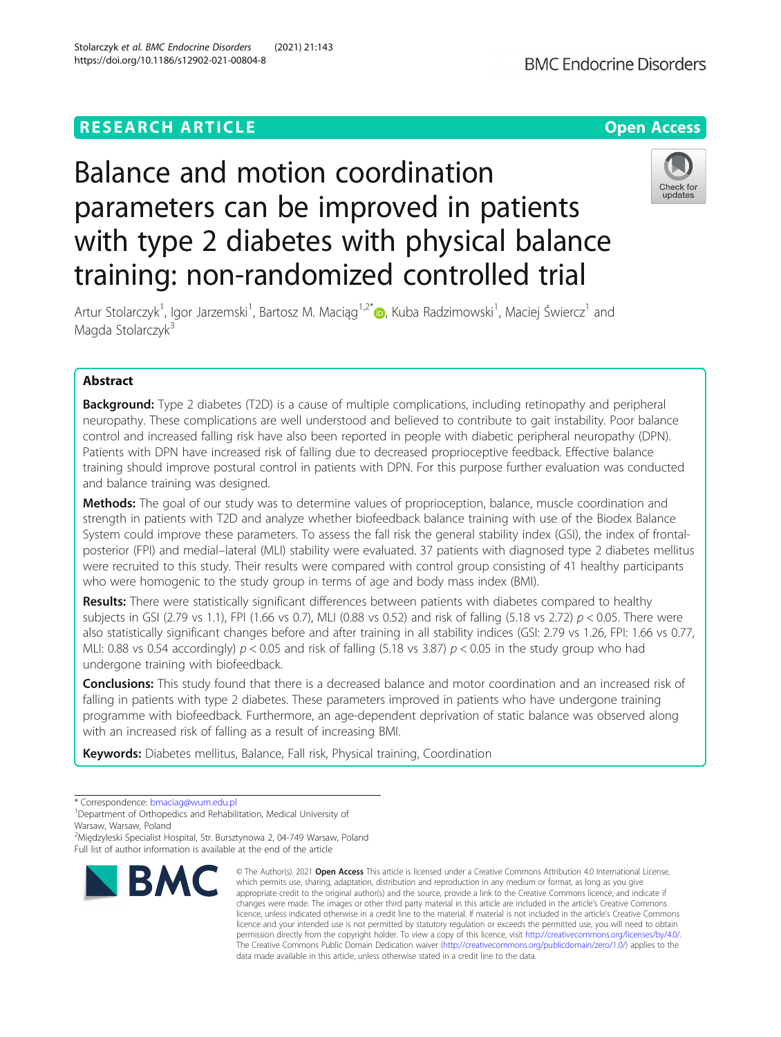## **RESEARCH ARTICLE Example 2014 12:30 The Contract of Contract ACCESS**

# Balance and motion coordination parameters can be improved in patients with type 2 diabetes with physical balance training: non-randomized controlled trial

Artur Stolarczyk<sup>1</sup>, Igor Jarzemski<sup>1</sup>, Bartosz M. Maciąg<sup>1,2[\\*](http://orcid.org/0000-0002-0311-3735)</sup>®, Kuba Radzimowski<sup>1</sup>, Maciej Świercz<sup>1</sup> and Magda Stolarczyk<sup>3</sup>

### Abstract

**Background:** Type 2 diabetes (T2D) is a cause of multiple complications, including retinopathy and peripheral neuropathy. These complications are well understood and believed to contribute to gait instability. Poor balance control and increased falling risk have also been reported in people with diabetic peripheral neuropathy (DPN). Patients with DPN have increased risk of falling due to decreased proprioceptive feedback. Effective balance training should improve postural control in patients with DPN. For this purpose further evaluation was conducted and balance training was designed.

**Methods:** The goal of our study was to determine values of proprioception, balance, muscle coordination and strength in patients with T2D and analyze whether biofeedback balance training with use of the Biodex Balance System could improve these parameters. To assess the fall risk the general stability index (GSI), the index of frontalposterior (FPI) and medial–lateral (MLI) stability were evaluated. 37 patients with diagnosed type 2 diabetes mellitus were recruited to this study. Their results were compared with control group consisting of 41 healthy participants who were homogenic to the study group in terms of age and body mass index (BMI).

Results: There were statistically significant differences between patients with diabetes compared to healthy subjects in GSI (2.79 vs 1.1), FPI (1.66 vs 0.7), MLI (0.88 vs 0.52) and risk of falling (5.18 vs 2.72)  $p < 0.05$ . There were also statistically significant changes before and after training in all stability indices (GSI: 2.79 vs 1.26, FPI: 1.66 vs 0.77, MLI: 0.88 vs 0.54 accordingly)  $p < 0.05$  and risk of falling (5.18 vs 3.87)  $p < 0.05$  in the study group who had undergone training with biofeedback.

**Conclusions:** This study found that there is a decreased balance and motor coordination and an increased risk of falling in patients with type 2 diabetes. These parameters improved in patients who have undergone training programme with biofeedback. Furthermore, an age-dependent deprivation of static balance was observed along with an increased risk of falling as a result of increasing BMI.

Keywords: Diabetes mellitus, Balance, Fall risk, Physical training, Coordination

**BMC** 

<sup>2</sup>Międzyleski Specialist Hospital, Str. Bursztynowa 2, 04-749 Warsaw, Poland



© The Author(s), 2021 **Open Access** This article is licensed under a Creative Commons Attribution 4.0 International License, which permits use, sharing, adaptation, distribution and reproduction in any medium or format, as long as you give



<sup>\*</sup> Correspondence: [bmaciag@wum.edu.pl](mailto:bmaciag@wum.edu.pl) <sup>1</sup>

<sup>&</sup>lt;sup>1</sup>Department of Orthopedics and Rehabilitation, Medical University of Warsaw, Warsaw, Poland

Full list of author information is available at the end of the article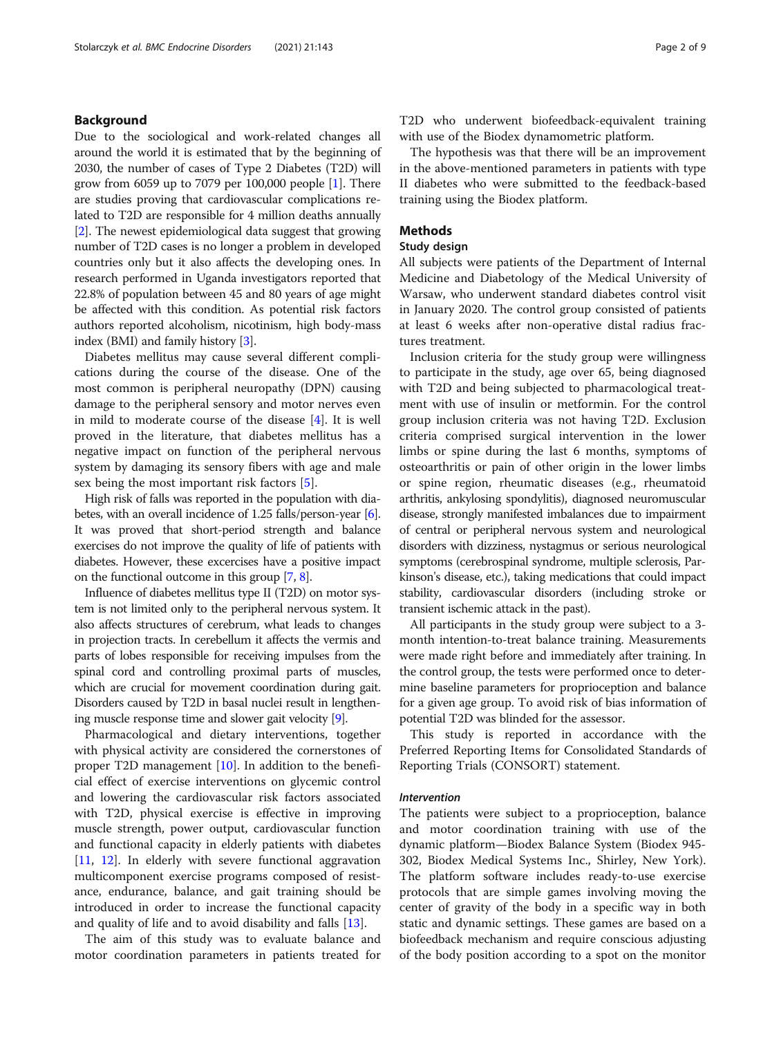#### Background

Due to the sociological and work-related changes all around the world it is estimated that by the beginning of 2030, the number of cases of Type 2 Diabetes (T2D) will grow from 6059 up to 7079 per 100,000 people [[1](#page-7-0)]. There are studies proving that cardiovascular complications related to T2D are responsible for 4 million deaths annually [[2\]](#page-7-0). The newest epidemiological data suggest that growing number of T2D cases is no longer a problem in developed countries only but it also affects the developing ones. In research performed in Uganda investigators reported that 22.8% of population between 45 and 80 years of age might be affected with this condition. As potential risk factors authors reported alcoholism, nicotinism, high body-mass index (BMI) and family history [[3](#page-7-0)].

Diabetes mellitus may cause several different complications during the course of the disease. One of the most common is peripheral neuropathy (DPN) causing damage to the peripheral sensory and motor nerves even in mild to moderate course of the disease [[4\]](#page-7-0). It is well proved in the literature, that diabetes mellitus has a negative impact on function of the peripheral nervous system by damaging its sensory fibers with age and male sex being the most important risk factors [[5\]](#page-7-0).

High risk of falls was reported in the population with diabetes, with an overall incidence of 1.25 falls/person-year [[6](#page-7-0)]. It was proved that short-period strength and balance exercises do not improve the quality of life of patients with diabetes. However, these excercises have a positive impact on the functional outcome in this group [\[7,](#page-7-0) [8](#page-7-0)].

Influence of diabetes mellitus type II (T2D) on motor system is not limited only to the peripheral nervous system. It also affects structures of cerebrum, what leads to changes in projection tracts. In cerebellum it affects the vermis and parts of lobes responsible for receiving impulses from the spinal cord and controlling proximal parts of muscles, which are crucial for movement coordination during gait. Disorders caused by T2D in basal nuclei result in lengthening muscle response time and slower gait velocity [[9](#page-7-0)].

Pharmacological and dietary interventions, together with physical activity are considered the cornerstones of proper T2D management  $[10]$  $[10]$ . In addition to the beneficial effect of exercise interventions on glycemic control and lowering the cardiovascular risk factors associated with T2D, physical exercise is effective in improving muscle strength, power output, cardiovascular function and functional capacity in elderly patients with diabetes [[11,](#page-7-0) [12\]](#page-7-0). In elderly with severe functional aggravation multicomponent exercise programs composed of resistance, endurance, balance, and gait training should be introduced in order to increase the functional capacity and quality of life and to avoid disability and falls [[13\]](#page-7-0).

The aim of this study was to evaluate balance and motor coordination parameters in patients treated for T2D who underwent biofeedback-equivalent training with use of the Biodex dynamometric platform.

The hypothesis was that there will be an improvement in the above-mentioned parameters in patients with type II diabetes who were submitted to the feedback-based training using the Biodex platform.

#### Methods

#### Study design

All subjects were patients of the Department of Internal Medicine and Diabetology of the Medical University of Warsaw, who underwent standard diabetes control visit in January 2020. The control group consisted of patients at least 6 weeks after non-operative distal radius fractures treatment.

Inclusion criteria for the study group were willingness to participate in the study, age over 65, being diagnosed with T2D and being subjected to pharmacological treatment with use of insulin or metformin. For the control group inclusion criteria was not having T2D. Exclusion criteria comprised surgical intervention in the lower limbs or spine during the last 6 months, symptoms of osteoarthritis or pain of other origin in the lower limbs or spine region, rheumatic diseases (e.g., rheumatoid arthritis, ankylosing spondylitis), diagnosed neuromuscular disease, strongly manifested imbalances due to impairment of central or peripheral nervous system and neurological disorders with dizziness, nystagmus or serious neurological symptoms (cerebrospinal syndrome, multiple sclerosis, Parkinson's disease, etc.), taking medications that could impact stability, cardiovascular disorders (including stroke or transient ischemic attack in the past).

All participants in the study group were subject to a 3 month intention-to-treat balance training. Measurements were made right before and immediately after training. In the control group, the tests were performed once to determine baseline parameters for proprioception and balance for a given age group. To avoid risk of bias information of potential T2D was blinded for the assessor.

This study is reported in accordance with the Preferred Reporting Items for Consolidated Standards of Reporting Trials (CONSORT) statement.

#### Intervention

The patients were subject to a proprioception, balance and motor coordination training with use of the dynamic platform—Biodex Balance System (Biodex 945- 302, Biodex Medical Systems Inc., Shirley, New York). The platform software includes ready-to-use exercise protocols that are simple games involving moving the center of gravity of the body in a specific way in both static and dynamic settings. These games are based on a biofeedback mechanism and require conscious adjusting of the body position according to a spot on the monitor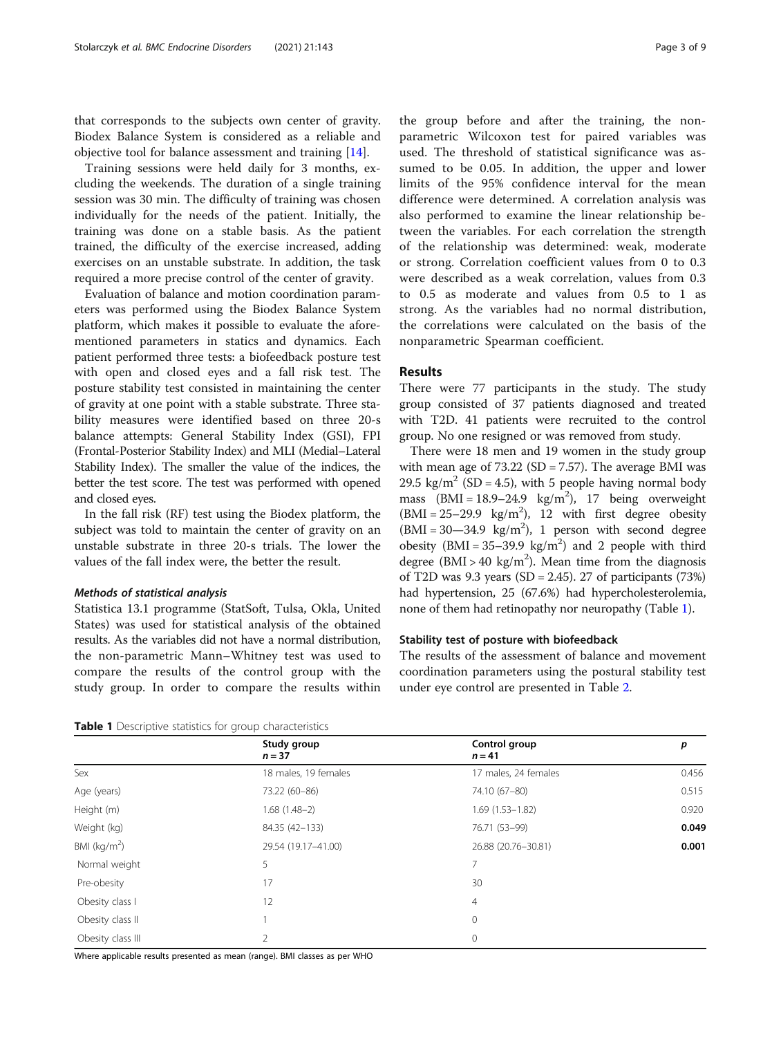that corresponds to the subjects own center of gravity. Biodex Balance System is considered as a reliable and objective tool for balance assessment and training [[14\]](#page-7-0).

Training sessions were held daily for 3 months, excluding the weekends. The duration of a single training session was 30 min. The difficulty of training was chosen individually for the needs of the patient. Initially, the training was done on a stable basis. As the patient trained, the difficulty of the exercise increased, adding exercises on an unstable substrate. In addition, the task required a more precise control of the center of gravity.

Evaluation of balance and motion coordination parameters was performed using the Biodex Balance System platform, which makes it possible to evaluate the aforementioned parameters in statics and dynamics. Each patient performed three tests: a biofeedback posture test with open and closed eyes and a fall risk test. The posture stability test consisted in maintaining the center of gravity at one point with a stable substrate. Three stability measures were identified based on three 20-s balance attempts: General Stability Index (GSI), FPI (Frontal-Posterior Stability Index) and MLI (Medial–Lateral Stability Index). The smaller the value of the indices, the better the test score. The test was performed with opened and closed eyes.

In the fall risk (RF) test using the Biodex platform, the subject was told to maintain the center of gravity on an unstable substrate in three 20-s trials. The lower the values of the fall index were, the better the result.

#### Methods of statistical analysis

Statistica 13.1 programme (StatSoft, Tulsa, Okla, United States) was used for statistical analysis of the obtained results. As the variables did not have a normal distribution, the non-parametric Mann–Whitney test was used to compare the results of the control group with the study group. In order to compare the results within

the group before and after the training, the nonparametric Wilcoxon test for paired variables was used. The threshold of statistical significance was assumed to be 0.05. In addition, the upper and lower limits of the 95% confidence interval for the mean difference were determined. A correlation analysis was also performed to examine the linear relationship between the variables. For each correlation the strength of the relationship was determined: weak, moderate or strong. Correlation coefficient values from 0 to 0.3 were described as a weak correlation, values from 0.3 to 0.5 as moderate and values from 0.5 to 1 as strong. As the variables had no normal distribution, the correlations were calculated on the basis of the nonparametric Spearman coefficient.

#### Results

There were 77 participants in the study. The study group consisted of 37 patients diagnosed and treated with T2D. 41 patients were recruited to the control group. No one resigned or was removed from study.

There were 18 men and 19 women in the study group with mean age of  $73.22$  (SD =  $7.57$ ). The average BMI was 29.5 kg/m<sup>2</sup> (SD = 4.5), with 5 people having normal body mass  $(BMI = 18.9 - 24.9 \text{ kg/m}^2)$ , 17 being overweight  $(BMI = 25-29.9 \text{ kg/m}^2)$ , 12 with first degree obesity  $(BMI = 30-34.9 \text{ kg/m}^2)$ , 1 person with second degree obesity  $(BMI = 35-39.9 \text{ kg/m}^2)$  and 2 people with third degree (BMI > 40 kg/m<sup>2</sup>). Mean time from the diagnosis of T2D was 9.3 years (SD = 2.45). 27 of participants (73%) had hypertension, 25 (67.6%) had hypercholesterolemia, none of them had retinopathy nor neuropathy (Table 1).

#### Stability test of posture with biofeedback

The results of the assessment of balance and movement coordination parameters using the postural stability test under eye control are presented in Table [2](#page-3-0).

Table 1 Descriptive statistics for group characteristics

|                   | Study group<br>$n = 37$ | Control group<br>$n = 41$ | p     |  |
|-------------------|-------------------------|---------------------------|-------|--|
| Sex               | 18 males, 19 females    | 17 males, 24 females      | 0.456 |  |
| Age (years)       | 73.22 (60-86)           | 74.10 (67-80)             | 0.515 |  |
| Height (m)        | $1.68(1.48-2)$          | $1.69(1.53 - 1.82)$       | 0.920 |  |
| Weight (kg)       | 84.35 (42-133)          | 76.71 (53-99)             | 0.049 |  |
| BMI ( $kg/m2$ )   | 29.54 (19.17-41.00)     | 26.88 (20.76-30.81)       | 0.001 |  |
| Normal weight     | 5                       | 7                         |       |  |
| Pre-obesity       | 17                      | 30                        |       |  |
| Obesity class I   | 12                      | $\overline{4}$            |       |  |
| Obesity class II  |                         | $\mathbf 0$               |       |  |
| Obesity class III | 2                       | $\mathbf{0}$              |       |  |

Where applicable results presented as mean (range). BMI classes as per WHO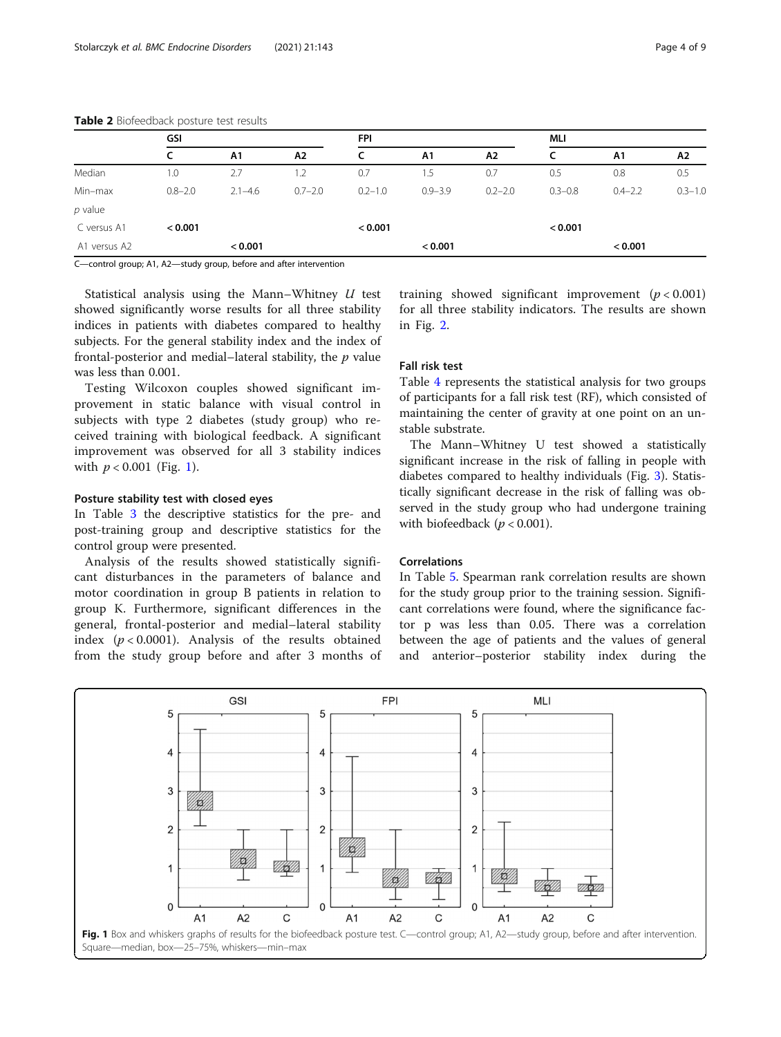|              | GSI         |                |             | <b>FPI</b>  |             |             | <b>MLI</b>  |                |             |
|--------------|-------------|----------------|-------------|-------------|-------------|-------------|-------------|----------------|-------------|
|              |             | A <sub>1</sub> | A2          | c           | A1          | A2          |             | A <sub>1</sub> | A2          |
| Median       | 1.0         | 2.7            | $\cdot$     | 0.7         | ۱.5         | 0.7         | 0.5         | 0.8            | 0.5         |
| Min-max      | $0.8 - 2.0$ | $2.1 - 4.6$    | $0.7 - 2.0$ | $0.2 - 1.0$ | $0.9 - 3.9$ | $0.2 - 2.0$ | $0.3 - 0.8$ | $0.4 - 2.2$    | $0.3 - 1.0$ |
| $p$ value    |             |                |             |             |             |             |             |                |             |
| C versus A1  | < 0.001     |                |             | < 0.001     |             |             | < 0.001     |                |             |
| A1 versus A2 |             | < 0.001        |             |             | < 0.001     |             |             | < 0.001        |             |

<span id="page-3-0"></span>Table 2 Biofeedback posture test results

C—control group; A1, A2—study group, before and after intervention

Statistical analysis using the Mann–Whitney U test showed significantly worse results for all three stability indices in patients with diabetes compared to healthy subjects. For the general stability index and the index of frontal-posterior and medial–lateral stability, the  $p$  value was less than 0.001.

Testing Wilcoxon couples showed significant improvement in static balance with visual control in subjects with type 2 diabetes (study group) who received training with biological feedback. A significant improvement was observed for all 3 stability indices with  $p < 0.001$  (Fig. 1).

#### Posture stability test with closed eyes

In Table [3](#page-4-0) the descriptive statistics for the pre- and post-training group and descriptive statistics for the control group were presented.

Analysis of the results showed statistically significant disturbances in the parameters of balance and motor coordination in group B patients in relation to group K. Furthermore, significant differences in the general, frontal-posterior and medial–lateral stability index  $(p < 0.0001)$ . Analysis of the results obtained from the study group before and after 3 months of training showed significant improvement  $(p < 0.001)$ for all three stability indicators. The results are shown in Fig. [2.](#page-4-0)

#### Fall risk test

Table [4](#page-5-0) represents the statistical analysis for two groups of participants for a fall risk test (RF), which consisted of maintaining the center of gravity at one point on an unstable substrate.

The Mann–Whitney U test showed a statistically significant increase in the risk of falling in people with diabetes compared to healthy individuals (Fig. [3](#page-5-0)). Statistically significant decrease in the risk of falling was observed in the study group who had undergone training with biofeedback ( $p < 0.001$ ).

#### Correlations

In Table [5.](#page-6-0) Spearman rank correlation results are shown for the study group prior to the training session. Significant correlations were found, where the significance factor p was less than 0.05. There was a correlation between the age of patients and the values of general and anterior–posterior stability index during the

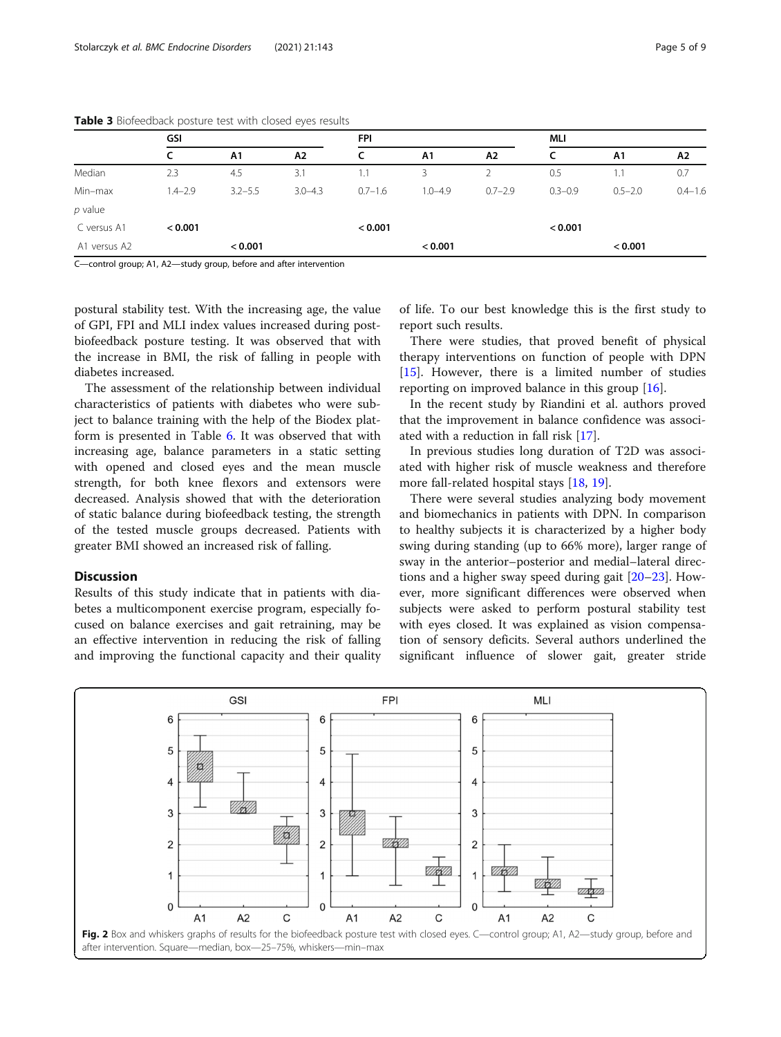|              | GSI         |                |             | <b>FPI</b>  |             |               | MLI         |             |             |
|--------------|-------------|----------------|-------------|-------------|-------------|---------------|-------------|-------------|-------------|
|              |             | A <sub>1</sub> | A2          | c           | A1          | A2            |             | A1          | A2          |
| Median       | 2.3         | 4.5            | 3.1         | 1.1         | 3           | $\mathcal{P}$ | 0.5         | 1.1         | 0.7         |
| Min-max      | $1.4 - 2.9$ | $3.2 - 5.5$    | $3.0 - 4.3$ | $0.7 - 1.6$ | $1.0 - 4.9$ | $0.7 - 2.9$   | $0.3 - 0.9$ | $0.5 - 2.0$ | $0.4 - 1.6$ |
| $p$ value    |             |                |             |             |             |               |             |             |             |
| C versus A1  | < 0.001     |                |             | < 0.001     |             |               | < 0.001     |             |             |
| A1 versus A2 |             | < 0.001        |             |             | < 0.001     |               |             | < 0.001     |             |

<span id="page-4-0"></span>Table 3 Biofeedback posture test with closed eyes results

C—control group; A1, A2—study group, before and after intervention

postural stability test. With the increasing age, the value of GPI, FPI and MLI index values increased during postbiofeedback posture testing. It was observed that with the increase in BMI, the risk of falling in people with diabetes increased.

The assessment of the relationship between individual characteristics of patients with diabetes who were subject to balance training with the help of the Biodex platform is presented in Table [6.](#page-6-0) It was observed that with increasing age, balance parameters in a static setting with opened and closed eyes and the mean muscle strength, for both knee flexors and extensors were decreased. Analysis showed that with the deterioration of static balance during biofeedback testing, the strength of the tested muscle groups decreased. Patients with greater BMI showed an increased risk of falling.

#### **Discussion**

Results of this study indicate that in patients with diabetes a multicomponent exercise program, especially focused on balance exercises and gait retraining, may be an effective intervention in reducing the risk of falling and improving the functional capacity and their quality of life. To our best knowledge this is the first study to report such results.

There were studies, that proved benefit of physical therapy interventions on function of people with DPN [[15\]](#page-7-0). However, there is a limited number of studies reporting on improved balance in this group [\[16](#page-7-0)].

In the recent study by Riandini et al. authors proved that the improvement in balance confidence was associated with a reduction in fall risk [\[17](#page-7-0)].

In previous studies long duration of T2D was associated with higher risk of muscle weakness and therefore more fall-related hospital stays [\[18](#page-7-0), [19](#page-7-0)].

There were several studies analyzing body movement and biomechanics in patients with DPN. In comparison to healthy subjects it is characterized by a higher body swing during standing (up to 66% more), larger range of sway in the anterior–posterior and medial–lateral directions and a higher sway speed during gait [[20](#page-7-0)–[23](#page-7-0)]. However, more significant differences were observed when subjects were asked to perform postural stability test with eyes closed. It was explained as vision compensation of sensory deficits. Several authors underlined the significant influence of slower gait, greater stride

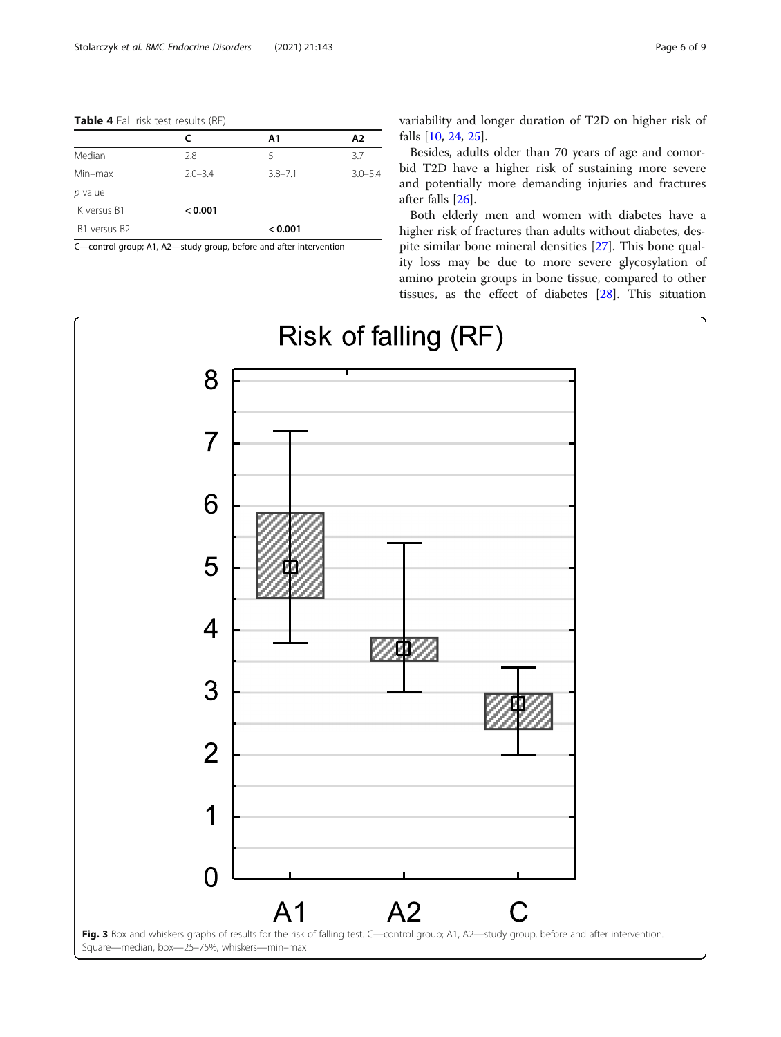<span id="page-5-0"></span>Table 4 Fall risk test results (RF)

|              | C           | A1          | Α2          |
|--------------|-------------|-------------|-------------|
| Median       | 2.8         | 5           | 3.7         |
| Min-max      | $2.0 - 3.4$ | $3.8 - 7.1$ | $3.0 - 5.4$ |
| $p$ value    |             |             |             |
| K versus B1  | < 0.001     |             |             |
| B1 versus B2 |             | < 0.001     |             |

C—control group; A1, A2—study group, before and after intervention

variability and longer duration of T2D on higher risk of falls [[10,](#page-7-0) [24,](#page-7-0) [25\]](#page-7-0).

Besides, adults older than 70 years of age and comorbid T2D have a higher risk of sustaining more severe and potentially more demanding injuries and fractures after falls [\[26](#page-7-0)].

Both elderly men and women with diabetes have a higher risk of fractures than adults without diabetes, despite similar bone mineral densities [\[27\]](#page-7-0). This bone quality loss may be due to more severe glycosylation of amino protein groups in bone tissue, compared to other tissues, as the effect of diabetes [[28](#page-8-0)]. This situation

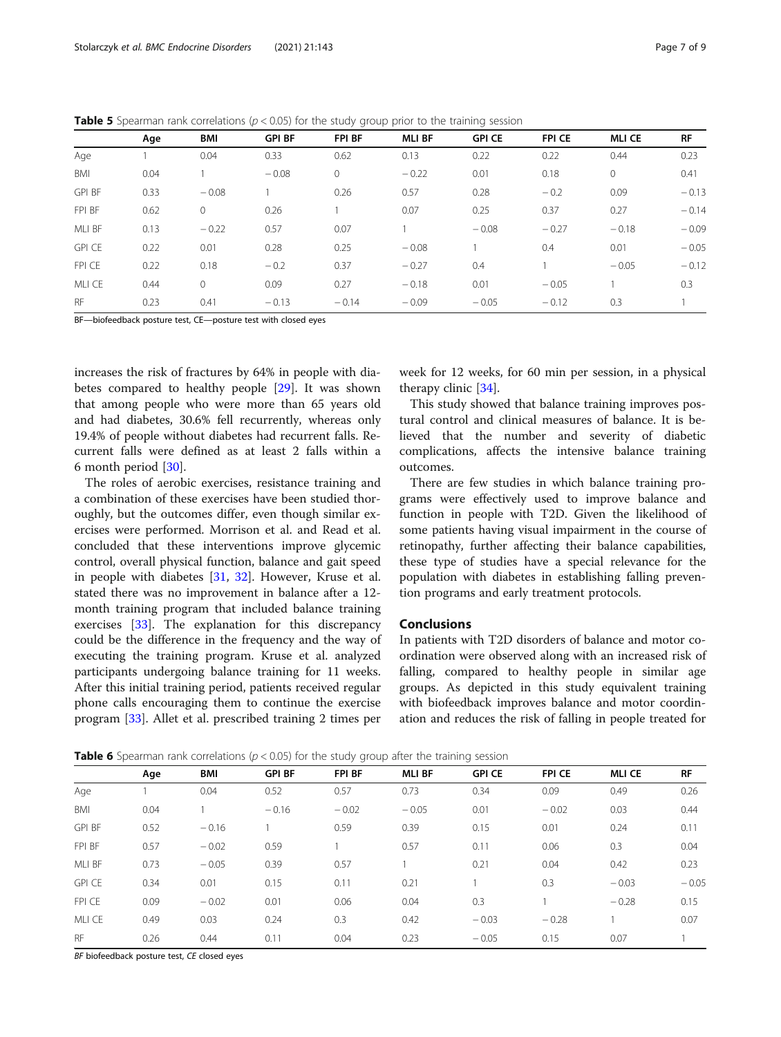<span id="page-6-0"></span>**Table 5** Spearman rank correlations ( $p < 0.05$ ) for the study group prior to the training session

|               | Age  | BMI      | <b>GPI BF</b> | FPI BF  | <b>MLI BF</b> | <b>GPI CE</b> | <b>FPI CE</b> | <b>MLI CE</b> | <b>RF</b> |
|---------------|------|----------|---------------|---------|---------------|---------------|---------------|---------------|-----------|
| Age           |      | 0.04     | 0.33          | 0.62    | 0.13          | 0.22          | 0.22          | 0.44          | 0.23      |
| BMI           | 0.04 |          | $-0.08$       | $\circ$ | $-0.22$       | 0.01          | 0.18          | $\mathbf{0}$  | 0.41      |
| <b>GPI BF</b> | 0.33 | $-0.08$  |               | 0.26    | 0.57          | 0.28          | $-0.2$        | 0.09          | $-0.13$   |
| FPI BF        | 0.62 | $\Omega$ | 0.26          |         | 0.07          | 0.25          | 0.37          | 0.27          | $-0.14$   |
| MLI BF        | 0.13 | $-0.22$  | 0.57          | 0.07    |               | $-0.08$       | $-0.27$       | $-0.18$       | $-0.09$   |
| <b>GPI CE</b> | 0.22 | 0.01     | 0.28          | 0.25    | $-0.08$       |               | 0.4           | 0.01          | $-0.05$   |
| FPI CE        | 0.22 | 0.18     | $-0.2$        | 0.37    | $-0.27$       | 0.4           |               | $-0.05$       | $-0.12$   |
| MLI CE        | 0.44 | $\Omega$ | 0.09          | 0.27    | $-0.18$       | 0.01          | $-0.05$       |               | 0.3       |
| <b>RF</b>     | 0.23 | 0.41     | $-0.13$       | $-0.14$ | $-0.09$       | $-0.05$       | $-0.12$       | 0.3           |           |

BF—biofeedback posture test, CE—posture test with closed eyes

increases the risk of fractures by 64% in people with diabetes compared to healthy people [[29\]](#page-8-0). It was shown that among people who were more than 65 years old and had diabetes, 30.6% fell recurrently, whereas only 19.4% of people without diabetes had recurrent falls. Recurrent falls were defined as at least 2 falls within a 6 month period [[30\]](#page-8-0).

The roles of aerobic exercises, resistance training and a combination of these exercises have been studied thoroughly, but the outcomes differ, even though similar exercises were performed. Morrison et al. and Read et al. concluded that these interventions improve glycemic control, overall physical function, balance and gait speed in people with diabetes [[31,](#page-8-0) [32\]](#page-8-0). However, Kruse et al. stated there was no improvement in balance after a 12 month training program that included balance training exercises [[33\]](#page-8-0). The explanation for this discrepancy could be the difference in the frequency and the way of executing the training program. Kruse et al. analyzed participants undergoing balance training for 11 weeks. After this initial training period, patients received regular phone calls encouraging them to continue the exercise program [\[33\]](#page-8-0). Allet et al. prescribed training 2 times per

week for 12 weeks, for 60 min per session, in a physical therapy clinic [\[34](#page-8-0)].

This study showed that balance training improves postural control and clinical measures of balance. It is believed that the number and severity of diabetic complications, affects the intensive balance training outcomes.

There are few studies in which balance training programs were effectively used to improve balance and function in people with T2D. Given the likelihood of some patients having visual impairment in the course of retinopathy, further affecting their balance capabilities, these type of studies have a special relevance for the population with diabetes in establishing falling prevention programs and early treatment protocols.

#### Conclusions

In patients with T2D disorders of balance and motor coordination were observed along with an increased risk of falling, compared to healthy people in similar age groups. As depicted in this study equivalent training with biofeedback improves balance and motor coordination and reduces the risk of falling in people treated for

Age BMI GPI BF FPI BF MLI BF GPI CE FPI CE MLI CE RF Age 1 0.04 0.52 0.57 0.73 0.34 0.09 0.49 0.26 BMI 0.04 1 − 0.16 − 0.02 − 0.05 0.01 − 0.02 0.03 0.44 GPI BF 0.52 − 0.16 1 0.59 0.39 0.15 0.01 0.24 0.11 FPI BF 0.57 − 0.02 0.59 1 0.57 0.11 0.06 0.3 0.04 MLI BF 0.73 − 0.05 0.39 0.57 1 0.21 0.04 0.42 0.23 GPI CE 0.34 0.01 0.15 0.11 0.21 1 0.3 − 0.03 − 0.05 FPI CE 0.09 − 0.02 0.01 0.06 0.04 0.3 1 − 0.28 0.15 MLI CE 0.49 0.03 0.24 0.3 0.42 − 0.03 − 0.28 1 0.07 RF 0.26 0.44 0.11 0.04 0.23 − 0.05 0.15 0.07 1

**Table 6** Spearman rank correlations ( $p < 0.05$ ) for the study group after the training session

BF biofeedback posture test, CE closed eyes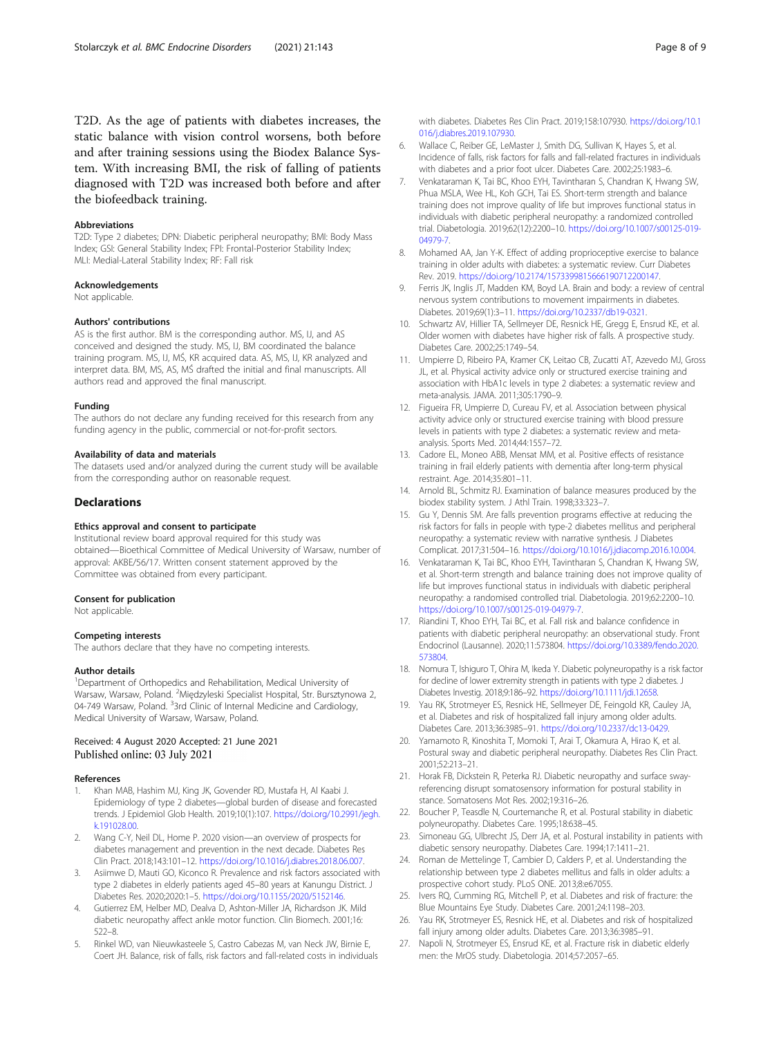<span id="page-7-0"></span>T2D. As the age of patients with diabetes increases, the static balance with vision control worsens, both before and after training sessions using the Biodex Balance System. With increasing BMI, the risk of falling of patients diagnosed with T2D was increased both before and after the biofeedback training.

#### Abbreviations

T2D: Type 2 diabetes; DPN: Diabetic peripheral neuropathy; BMI: Body Mass Index; GSI: General Stability Index; FPI: Frontal-Posterior Stability Index; MLI: Medial-Lateral Stability Index; RF: Fall risk

#### Acknowledgements

Not applicable.

#### Authors' contributions

AS is the first author. BM is the corresponding author. MS, IJ, and AS conceived and designed the study. MS, IJ, BM coordinated the balance training program. MS, IJ, MŚ, KR acquired data. AS, MS, IJ, KR analyzed and interpret data. BM, MS, AS, MŚ drafted the initial and final manuscripts. All authors read and approved the final manuscript.

#### Funding

The authors do not declare any funding received for this research from any funding agency in the public, commercial or not-for-profit sectors.

#### Availability of data and materials

The datasets used and/or analyzed during the current study will be available from the corresponding author on reasonable request.

#### **Declarations**

#### Ethics approval and consent to participate

Institutional review board approval required for this study was obtained—Bioethical Committee of Medical University of Warsaw, number of approval: AKBE/56/17. Written consent statement approved by the Committee was obtained from every participant.

#### Consent for publication

Not applicable.

#### Competing interests

The authors declare that they have no competing interests.

#### Author details

<sup>1</sup>Department of Orthopedics and Rehabilitation, Medical University of Warsaw, Warsaw, Poland. <sup>2</sup>Międzyleski Specialist Hospital, Str. Bursztynowa 2, 04-749 Warsaw, Poland. <sup>3</sup>3rd Clinic of Internal Medicine and Cardiology, Medical University of Warsaw, Warsaw, Poland.

#### Received: 4 August 2020 Accepted: 21 June 2021 Published online: 03 July 2021

#### References

- 1. Khan MAB, Hashim MJ, King JK, Govender RD, Mustafa H, Al Kaabi J. Epidemiology of type 2 diabetes—global burden of disease and forecasted trends. J Epidemiol Glob Health. 2019;10(1):107. [https://doi.org/10.2991/jegh.](https://doi.org/10.2991/jegh.k.191028.00) [k.191028.00](https://doi.org/10.2991/jegh.k.191028.00).
- 2. Wang C-Y, Neil DL, Home P. 2020 vision—an overview of prospects for diabetes management and prevention in the next decade. Diabetes Res Clin Pract. 2018;143:101–12. [https://doi.org/10.1016/j.diabres.2018.06.007.](https://doi.org/10.1016/j.diabres.2018.06.007)
- 3. Asiimwe D, Mauti GO, Kiconco R. Prevalence and risk factors associated with type 2 diabetes in elderly patients aged 45–80 years at Kanungu District. J Diabetes Res. 2020;2020:1–5. <https://doi.org/10.1155/2020/5152146>.
- 4. Gutierrez EM, Helber MD, Dealva D, Ashton-Miller JA, Richardson JK. Mild diabetic neuropathy affect ankle motor function. Clin Biomech. 2001;16: 522–8.
- Rinkel WD, van Nieuwkasteele S, Castro Cabezas M, van Neck JW, Birnie E, Coert JH. Balance, risk of falls, risk factors and fall-related costs in individuals

with diabetes. Diabetes Res Clin Pract. 2019;158:107930. [https://doi.org/10.1](https://doi.org/10.1016/j.diabres.2019.107930) [016/j.diabres.2019.107930](https://doi.org/10.1016/j.diabres.2019.107930).

- 6. Wallace C, Reiber GE, LeMaster J, Smith DG, Sullivan K, Hayes S, et al. Incidence of falls, risk factors for falls and fall-related fractures in individuals with diabetes and a prior foot ulcer. Diabetes Care. 2002;25:1983–6.
- 7. Venkataraman K, Tai BC, Khoo EYH, Tavintharan S, Chandran K, Hwang SW, Phua MSLA, Wee HL, Koh GCH, Tai ES. Short-term strength and balance training does not improve quality of life but improves functional status in individuals with diabetic peripheral neuropathy: a randomized controlled trial. Diabetologia. 2019;62(12):2200–10. [https://doi.org/10.1007/s00125-019-](https://doi.org/10.1007/s00125-019-04979-7) [04979-7](https://doi.org/10.1007/s00125-019-04979-7).
- 8. Mohamed AA, Jan Y-K. Effect of adding proprioceptive exercise to balance training in older adults with diabetes: a systematic review. Curr Diabetes Rev. 2019. [https://doi.org/10.2174/1573399815666190712200147.](https://doi.org/10.2174/1573399815666190712200147)
- 9. Ferris JK, Inglis JT, Madden KM, Boyd LA. Brain and body: a review of central nervous system contributions to movement impairments in diabetes. Diabetes. 2019;69(1):3–11. <https://doi.org/10.2337/db19-0321>.
- 10. Schwartz AV, Hillier TA, Sellmeyer DE, Resnick HE, Gregg E, Ensrud KE, et al. Older women with diabetes have higher risk of falls. A prospective study. Diabetes Care. 2002;25:1749–54.
- 11. Umpierre D, Ribeiro PA, Kramer CK, Leitao CB, Zucatti AT, Azevedo MJ, Gross JL, et al. Physical activity advice only or structured exercise training and association with HbA1c levels in type 2 diabetes: a systematic review and meta-analysis. JAMA. 2011;305:1790–9.
- 12. Figueira FR, Umpierre D, Cureau FV, et al. Association between physical activity advice only or structured exercise training with blood pressure levels in patients with type 2 diabetes: a systematic review and metaanalysis. Sports Med. 2014;44:1557–72.
- 13. Cadore EL, Moneo ABB, Mensat MM, et al. Positive effects of resistance training in frail elderly patients with dementia after long-term physical restraint. Age. 2014;35:801–11.
- 14. Arnold BL, Schmitz RJ. Examination of balance measures produced by the biodex stability system. J Athl Train. 1998;33:323–7.
- 15. Gu Y, Dennis SM. Are falls prevention programs effective at reducing the risk factors for falls in people with type-2 diabetes mellitus and peripheral neuropathy: a systematic review with narrative synthesis. J Diabetes Complicat. 2017;31:504–16. <https://doi.org/10.1016/j.jdiacomp.2016.10.004>.
- 16. Venkataraman K, Tai BC, Khoo EYH, Tavintharan S, Chandran K, Hwang SW, et al. Short-term strength and balance training does not improve quality of life but improves functional status in individuals with diabetic peripheral neuropathy: a randomised controlled trial. Diabetologia. 2019;62:2200–10. [https://doi.org/10.1007/s00125-019-04979-7.](https://doi.org/10.1007/s00125-019-04979-7)
- 17. Riandini T, Khoo EYH, Tai BC, et al. Fall risk and balance confidence in patients with diabetic peripheral neuropathy: an observational study. Front Endocrinol (Lausanne). 2020;11:573804. [https://doi.org/10.3389/fendo.2020.](https://doi.org/10.3389/fendo.2020.573804) [573804](https://doi.org/10.3389/fendo.2020.573804).
- 18. Nomura T, Ishiguro T, Ohira M, Ikeda Y. Diabetic polyneuropathy is a risk factor for decline of lower extremity strength in patients with type 2 diabetes. J Diabetes Investig. 2018;9:186–92. <https://doi.org/10.1111/jdi.12658>.
- 19. Yau RK, Strotmeyer ES, Resnick HE, Sellmeyer DE, Feingold KR, Cauley JA, et al. Diabetes and risk of hospitalized fall injury among older adults. Diabetes Care. 2013;36:3985–91. [https://doi.org/10.2337/dc13-0429.](https://doi.org/10.2337/dc13-0429)
- 20. Yamamoto R, Kinoshita T, Momoki T, Arai T, Okamura A, Hirao K, et al. Postural sway and diabetic peripheral neuropathy. Diabetes Res Clin Pract. 2001;52:213–21.
- 21. Horak FB, Dickstein R, Peterka RJ. Diabetic neuropathy and surface swayreferencing disrupt somatosensory information for postural stability in stance. Somatosens Mot Res. 2002;19:316–26.
- 22. Boucher P, Teasdle N, Courtemanche R, et al. Postural stability in diabetic polyneuropathy. Diabetes Care. 1995;18:638–45.
- Simoneau GG, Ulbrecht JS, Derr JA, et al. Postural instability in patients with diabetic sensory neuropathy. Diabetes Care. 1994;17:1411–21.
- 24. Roman de Mettelinge T, Cambier D, Calders P, et al. Understanding the relationship between type 2 diabetes mellitus and falls in older adults: a prospective cohort study. PLoS ONE. 2013;8:e67055.
- 25. Ivers RQ, Cumming RG, Mitchell P, et al. Diabetes and risk of fracture: the Blue Mountains Eye Study. Diabetes Care. 2001;24:1198–203.
- 26. Yau RK, Strotmeyer ES, Resnick HE, et al. Diabetes and risk of hospitalized fall injury among older adults. Diabetes Care. 2013;36:3985–91.
- 27. Napoli N, Strotmeyer ES, Ensrud KE, et al. Fracture risk in diabetic elderly men: the MrOS study. Diabetologia. 2014;57:2057–65.